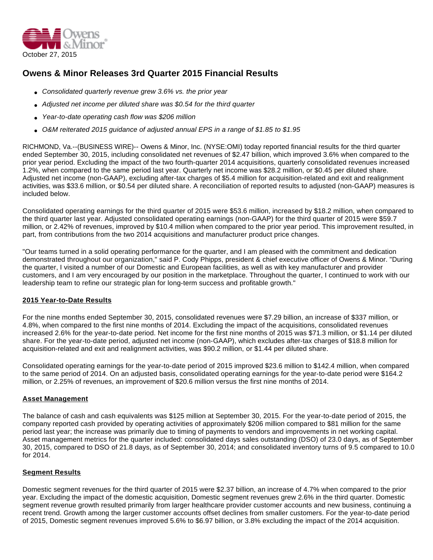

# **Owens & Minor Releases 3rd Quarter 2015 Financial Results**

- Consolidated quarterly revenue grew  $3.6\%$  vs. the prior year
- Adjusted net income per diluted share was \$0.54 for the third quarter
- Year-to-date operating cash flow was \$206 million
- O&M reiterated 2015 guidance of adjusted annual EPS in a range of \$1.85 to \$1.95

RICHMOND, Va.--(BUSINESS WIRE)-- Owens & Minor, Inc. (NYSE:OMI) today reported financial results for the third quarter ended September 30, 2015, including consolidated net revenues of \$2.47 billion, which improved 3.6% when compared to the prior year period. Excluding the impact of the two fourth-quarter 2014 acquisitions, quarterly consolidated revenues increased 1.2%, when compared to the same period last year. Quarterly net income was \$28.2 million, or \$0.45 per diluted share. Adjusted net income (non-GAAP), excluding after-tax charges of \$5.4 million for acquisition-related and exit and realignment activities, was \$33.6 million, or \$0.54 per diluted share. A reconciliation of reported results to adjusted (non-GAAP) measures is included below.

Consolidated operating earnings for the third quarter of 2015 were \$53.6 million, increased by \$18.2 million, when compared to the third quarter last year. Adjusted consolidated operating earnings (non-GAAP) for the third quarter of 2015 were \$59.7 million, or 2.42% of revenues, improved by \$10.4 million when compared to the prior year period. This improvement resulted, in part, from contributions from the two 2014 acquisitions and manufacturer product price changes.

"Our teams turned in a solid operating performance for the quarter, and I am pleased with the commitment and dedication demonstrated throughout our organization," said P. Cody Phipps, president & chief executive officer of Owens & Minor. "During the quarter, I visited a number of our Domestic and European facilities, as well as with key manufacturer and provider customers, and I am very encouraged by our position in the marketplace. Throughout the quarter, I continued to work with our leadership team to refine our strategic plan for long-term success and profitable growth."

## **2015 Year-to-Date Results**

For the nine months ended September 30, 2015, consolidated revenues were \$7.29 billion, an increase of \$337 million, or 4.8%, when compared to the first nine months of 2014. Excluding the impact of the acquisitions, consolidated revenues increased 2.6% for the year-to-date period. Net income for the first nine months of 2015 was \$71.3 million, or \$1.14 per diluted share. For the year-to-date period, adjusted net income (non-GAAP), which excludes after-tax charges of \$18.8 million for acquisition-related and exit and realignment activities, was \$90.2 million, or \$1.44 per diluted share.

Consolidated operating earnings for the year-to-date period of 2015 improved \$23.6 million to \$142.4 million, when compared to the same period of 2014. On an adjusted basis, consolidated operating earnings for the year-to-date period were \$164.2 million, or 2.25% of revenues, an improvement of \$20.6 million versus the first nine months of 2014.

## **Asset Management**

The balance of cash and cash equivalents was \$125 million at September 30, 2015. For the year-to-date period of 2015, the company reported cash provided by operating activities of approximately \$206 million compared to \$81 million for the same period last year; the increase was primarily due to timing of payments to vendors and improvements in net working capital. Asset management metrics for the quarter included: consolidated days sales outstanding (DSO) of 23.0 days, as of September 30, 2015, compared to DSO of 21.8 days, as of September 30, 2014; and consolidated inventory turns of 9.5 compared to 10.0 for 2014.

## **Segment Results**

Domestic segment revenues for the third quarter of 2015 were \$2.37 billion, an increase of 4.7% when compared to the prior year. Excluding the impact of the domestic acquisition, Domestic segment revenues grew 2.6% in the third quarter. Domestic segment revenue growth resulted primarily from larger healthcare provider customer accounts and new business, continuing a recent trend. Growth among the larger customer accounts offset declines from smaller customers. For the year-to-date period of 2015, Domestic segment revenues improved 5.6% to \$6.97 billion, or 3.8% excluding the impact of the 2014 acquisition.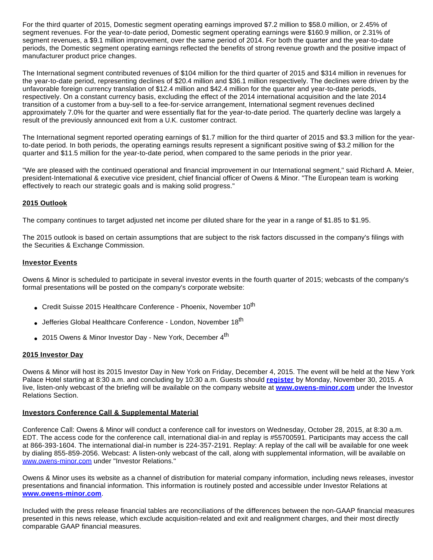For the third quarter of 2015, Domestic segment operating earnings improved \$7.2 million to \$58.0 million, or 2.45% of segment revenues. For the year-to-date period, Domestic segment operating earnings were \$160.9 million, or 2.31% of segment revenues, a \$9.1 million improvement, over the same period of 2014. For both the quarter and the year-to-date periods, the Domestic segment operating earnings reflected the benefits of strong revenue growth and the positive impact of manufacturer product price changes.

The International segment contributed revenues of \$104 million for the third quarter of 2015 and \$314 million in revenues for the year-to-date period, representing declines of \$20.4 million and \$36.1 million respectively. The declines were driven by the unfavorable foreign currency translation of \$12.4 million and \$42.4 million for the quarter and year-to-date periods, respectively. On a constant currency basis, excluding the effect of the 2014 international acquisition and the late 2014 transition of a customer from a buy-sell to a fee-for-service arrangement, International segment revenues declined approximately 7.0% for the quarter and were essentially flat for the year-to-date period. The quarterly decline was largely a result of the previously announced exit from a U.K. customer contract.

The International segment reported operating earnings of \$1.7 million for the third quarter of 2015 and \$3.3 million for the yearto-date period. In both periods, the operating earnings results represent a significant positive swing of \$3.2 million for the quarter and \$11.5 million for the year-to-date period, when compared to the same periods in the prior year.

"We are pleased with the continued operational and financial improvement in our International segment," said Richard A. Meier, president-International & executive vice president, chief financial officer of Owens & Minor. "The European team is working effectively to reach our strategic goals and is making solid progress."

# **2015 Outlook**

The company continues to target adjusted net income per diluted share for the year in a range of \$1.85 to \$1.95.

The 2015 outlook is based on certain assumptions that are subject to the risk factors discussed in the company's filings with the Securities & Exchange Commission.

## **Investor Events**

Owens & Minor is scheduled to participate in several investor events in the fourth quarter of 2015; webcasts of the company's formal presentations will be posted on the company's corporate website:

- Credit Suisse 2015 Healthcare Conference Phoenix, November 10<sup>th</sup>
- Jefferies Global Healthcare Conference London, November 18<sup>th</sup>
- 2015 Owens & Minor Investor Day New York, December 4<sup>th</sup>

## **2015 Investor Day**

Owens & Minor will host its 2015 Investor Day in New York on Friday, December 4, 2015. The event will be held at the New York Palace Hotel starting at 8:30 a.m. and concluding by 10:30 a.m. Guests should **[register](http://cts.businesswire.com/ct/CT?id=smartlink&url=http%3A%2F%2Finvestors.owens-minor.com%2Fregistration.cfm&esheet=51210518&newsitemid=20151027007014&lan=en-US&anchor=register&index=1&md5=afade4acab82f07c3862813147289e28)** by Monday, November 30, 2015. A live, listen-only webcast of the briefing will be available on the company website at **[www.owens-minor.com](http://cts.businesswire.com/ct/CT?id=smartlink&url=http%3A%2F%2Fwww.owens-minor.com&esheet=51210518&newsitemid=20151027007014&lan=en-US&anchor=www.owens-minor.com&index=2&md5=34d1c1c1ac0b1561bb08d44a0e7bd058)** under the Investor Relations Section.

# **Investors Conference Call & Supplemental Material**

Conference Call: Owens & Minor will conduct a conference call for investors on Wednesday, October 28, 2015, at 8:30 a.m. EDT. The access code for the conference call, international dial-in and replay is #55700591. Participants may access the call at 866-393-1604. The international dial-in number is 224-357-2191. Replay: A replay of the call will be available for one week by dialing 855-859-2056. Webcast: A listen-only webcast of the call, along with supplemental information, will be available on [www.owens-minor.com](http://cts.businesswire.com/ct/CT?id=smartlink&url=http%3A%2F%2Fwww.owens-minor.com&esheet=51210518&newsitemid=20151027007014&lan=en-US&anchor=www.owens-minor.com&index=3&md5=12366345b0f73c6a2242ed8a8f6ed051) under "Investor Relations."

Owens & Minor uses its website as a channel of distribution for material company information, including news releases, investor presentations and financial information. This information is routinely posted and accessible under Investor Relations at **[www.owens-minor.com](http://cts.businesswire.com/ct/CT?id=smartlink&url=http%3A%2F%2Fwww.owens-minor.com&esheet=51210518&newsitemid=20151027007014&lan=en-US&anchor=www.owens-minor.com&index=4&md5=43308e7a74b4345150f1d2023996fd17)**.

Included with the press release financial tables are reconciliations of the differences between the non-GAAP financial measures presented in this news release, which exclude acquisition-related and exit and realignment charges, and their most directly comparable GAAP financial measures.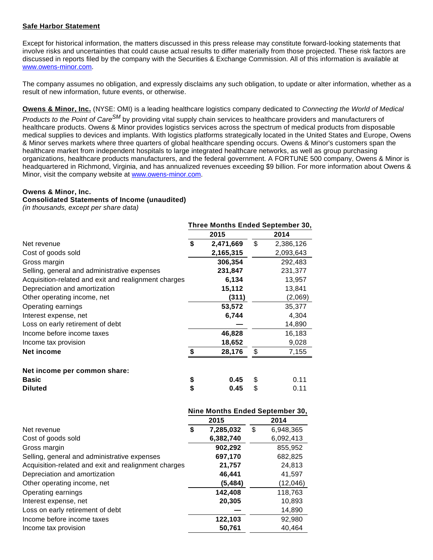# **Safe Harbor Statement**

Except for historical information, the matters discussed in this press release may constitute forward-looking statements that involve risks and uncertainties that could cause actual results to differ materially from those projected. These risk factors are discussed in reports filed by the company with the Securities & Exchange Commission. All of this information is available at [www.owens-minor.com.](http://cts.businesswire.com/ct/CT?id=smartlink&url=http%3A%2F%2Fwww.owens-minor.com&esheet=51210518&newsitemid=20151027007014&lan=en-US&anchor=www.owens-minor.com&index=5&md5=b049844aad3db1501e6afbbc9e23de3d)

The company assumes no obligation, and expressly disclaims any such obligation, to update or alter information, whether as a result of new information, future events, or otherwise.

**Owens & Minor, Inc.** (NYSE: OMI) is a leading healthcare logistics company dedicated to Connecting the World of Medical

Products to the Point of Care<sup>SM</sup> by providing vital supply chain services to healthcare providers and manufacturers of healthcare products. Owens & Minor provides logistics services across the spectrum of medical products from disposable medical supplies to devices and implants. With logistics platforms strategically located in the United States and Europe, Owens & Minor serves markets where three quarters of global healthcare spending occurs. Owens & Minor's customers span the healthcare market from independent hospitals to large integrated healthcare networks, as well as group purchasing organizations, healthcare products manufacturers, and the federal government. A FORTUNE 500 company, Owens & Minor is headquartered in Richmond, Virginia, and has annualized revenues exceeding \$9 billion. For more information about Owens & Minor, visit the company website at [www.owens-minor.com](http://cts.businesswire.com/ct/CT?id=smartlink&url=http%3A%2F%2Fwww.owens-minor.com&esheet=51210518&newsitemid=20151027007014&lan=en-US&anchor=www.owens-minor.com&index=6&md5=56db6d25946823409eea3d61c6641553).

**Three Months Ended September 30,**

## **Owens & Minor, Inc.**

#### **Consolidated Statements of Income (unaudited)**

(in thousands, except per share data)

|                                                      |                                 | Three Months Ended September 30, |
|------------------------------------------------------|---------------------------------|----------------------------------|
|                                                      | 2015                            | 2014                             |
| Net revenue                                          | \$<br>2,471,669                 | \$<br>2,386,126                  |
| Cost of goods sold                                   | 2,165,315                       | 2,093,643                        |
| Gross margin                                         | 306,354                         | 292,483                          |
| Selling, general and administrative expenses         | 231,847                         | 231,377                          |
| Acquisition-related and exit and realignment charges | 6,134                           | 13,957                           |
| Depreciation and amortization                        | 15,112                          | 13,841                           |
| Other operating income, net                          | (311)                           | (2,069)                          |
| Operating earnings                                   | 53,572                          | 35,377                           |
| Interest expense, net                                | 6,744                           | 4,304                            |
| Loss on early retirement of debt                     |                                 | 14,890                           |
| Income before income taxes                           | 46,828                          | 16,183                           |
| Income tax provision                                 | 18,652                          | 9,028                            |
| <b>Net income</b>                                    | \$<br>28,176                    | \$<br>7,155                      |
| Net income per common share:                         |                                 |                                  |
| <b>Basic</b>                                         | \$<br>0.45                      | \$<br>0.11                       |
| <b>Diluted</b>                                       | \$<br>0.45                      | \$<br>0.11                       |
|                                                      | Nine Months Ended September 30, |                                  |
|                                                      | 2015                            | 2014                             |
| Net revenue                                          | \$<br>7,285,032                 | \$<br>6,948,365                  |
| Cost of goods sold                                   | 6,382,740                       | 6,092,413                        |
| Gross margin                                         | 902,292                         | 855,952                          |
| Selling, general and administrative expenses         | 697,170                         | 682,825                          |
| Acquisition-related and exit and realignment charges | 21,757                          | 24,813                           |
| Depreciation and amortization                        | 46,441                          | 41,597                           |
| Other operating income, net                          | (5, 484)                        | (12,046)                         |
| Operating earnings                                   | 142,408                         | 118,763                          |
| Interest expense, net                                | 20,305                          | 10,893                           |
| Loss on early retirement of debt                     |                                 | 14,890                           |
| Income before income taxes                           | 122,103                         | 92,980                           |

Income tax provision **50,761** 40,464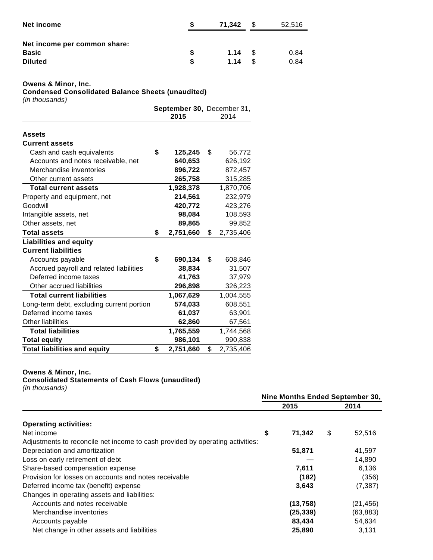| Net income                   |    |      | 71.342 |      |  |  |
|------------------------------|----|------|--------|------|--|--|
| Net income per common share: |    |      |        |      |  |  |
| <b>Basic</b>                 | S  | 1.14 | - \$   | 0.84 |  |  |
| <b>Diluted</b>               | £. | 1.14 | ß.     | 0.84 |  |  |

#### **Owens & Minor, Inc.**

**Condensed Consolidated Balance Sheets (unaudited)**

(in thousands)

|                                           | September 30, December 31,<br>2015 | 2014            |
|-------------------------------------------|------------------------------------|-----------------|
| <b>Assets</b>                             |                                    |                 |
| <b>Current assets</b>                     |                                    |                 |
| Cash and cash equivalents                 | \$<br>125,245                      | \$<br>56,772    |
| Accounts and notes receivable, net        | 640,653                            | 626,192         |
| Merchandise inventories                   | 896,722                            | 872,457         |
| Other current assets                      | 265,758                            | 315,285         |
| <b>Total current assets</b>               | 1,928,378                          | 1,870,706       |
| Property and equipment, net               | 214,561                            | 232,979         |
| Goodwill                                  | 420,772                            | 423,276         |
| Intangible assets, net                    | 98,084                             | 108,593         |
| Other assets, net                         | 89,865                             | 99,852          |
| <b>Total assets</b>                       | \$<br>2,751,660                    | \$<br>2,735,406 |
| <b>Liabilities and equity</b>             |                                    |                 |
| <b>Current liabilities</b>                |                                    |                 |
| Accounts payable                          | \$<br>690,134                      | \$<br>608,846   |
| Accrued payroll and related liabilities   | 38,834                             | 31,507          |
| Deferred income taxes                     | 41,763                             | 37,979          |
| Other accrued liabilities                 | 296,898                            | 326,223         |
| <b>Total current liabilities</b>          | 1,067,629                          | 1,004,555       |
| Long-term debt, excluding current portion | 574,033                            | 608,551         |
| Deferred income taxes                     | 61,037                             | 63,901          |
| Other liabilities                         | 62,860                             | 67,561          |
| <b>Total liabilities</b>                  | 1,765,559                          | 1,744,568       |
| <b>Total equity</b>                       | 986,101                            | 990,838         |
| <b>Total liabilities and equity</b>       | \$<br>2,751,660                    | \$<br>2,735,406 |

# **Owens & Minor, Inc.**

**Consolidated Statements of Cash Flows (unaudited)**

(in thousands)

|                                                                               | Nine Months Ended September 30, |              |
|-------------------------------------------------------------------------------|---------------------------------|--------------|
|                                                                               | 2015                            | 2014         |
| <b>Operating activities:</b>                                                  |                                 |              |
| Net income                                                                    | \$<br>71,342                    | \$<br>52,516 |
| Adjustments to reconcile net income to cash provided by operating activities: |                                 |              |
| Depreciation and amortization                                                 | 51,871                          | 41,597       |
| Loss on early retirement of debt                                              |                                 | 14,890       |
| Share-based compensation expense                                              | 7,611                           | 6,136        |
| Provision for losses on accounts and notes receivable                         | (182)                           | (356)        |
| Deferred income tax (benefit) expense                                         | 3,643                           | (7, 387)     |
| Changes in operating assets and liabilities:                                  |                                 |              |
| Accounts and notes receivable                                                 | (13,758)                        | (21,456)     |
| Merchandise inventories                                                       | (25, 339)                       | (63,883)     |
| Accounts payable                                                              | 83,434                          | 54,634       |
| Net change in other assets and liabilities                                    | 25,890                          | 3,131        |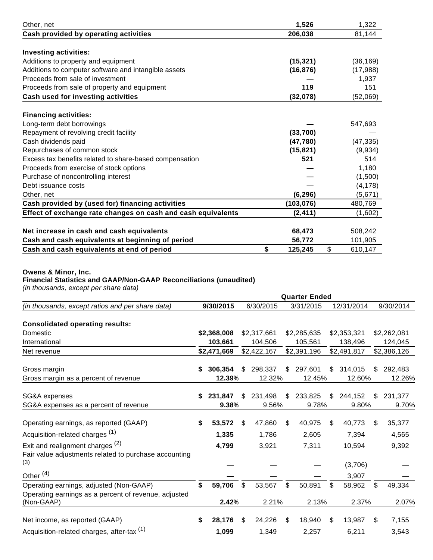| Other, net                                                   | 1,526         | 1,322         |
|--------------------------------------------------------------|---------------|---------------|
| Cash provided by operating activities                        | 206,038       | 81,144        |
|                                                              |               |               |
| <b>Investing activities:</b>                                 |               |               |
| Additions to property and equipment                          | (15, 321)     | (36, 169)     |
| Additions to computer software and intangible assets         | (16, 876)     | (17,988)      |
| Proceeds from sale of investment                             |               | 1,937         |
| Proceeds from sale of property and equipment                 | 119           | 151           |
| Cash used for investing activities                           | (32,078)      | (52,069)      |
| <b>Financing activities:</b>                                 |               |               |
| Long-term debt borrowings                                    |               | 547,693       |
| Repayment of revolving credit facility                       | (33,700)      |               |
| Cash dividends paid                                          | (47, 780)     | (47, 335)     |
| Repurchases of common stock                                  | (15, 821)     | (9,934)       |
| Excess tax benefits related to share-based compensation      | 521           | 514           |
| Proceeds from exercise of stock options                      |               | 1,180         |
| Purchase of noncontrolling interest                          |               | (1,500)       |
| Debt issuance costs                                          |               | (4, 178)      |
| Other, net                                                   | (6, 296)      | (5,671)       |
| Cash provided by (used for) financing activities             | (103, 076)    | 480,769       |
| Effect of exchange rate changes on cash and cash equivalents | (2, 411)      | (1,602)       |
|                                                              |               |               |
| Net increase in cash and cash equivalents                    | 68,473        | 508,242       |
| Cash and cash equivalents at beginning of period             | 56,772        | 101,905       |
| Cash and cash equivalents at end of period                   | \$<br>125,245 | \$<br>610.147 |

## **Owens & Minor, Inc.**

## **Financial Statistics and GAAP/Non-GAAP Reconciliations (unaudited)**

(in thousands, except per share data)

|                                                                                                      | <b>Quarter Ended</b> |             |     |             |       |             |    |             |     |             |  |  |  |
|------------------------------------------------------------------------------------------------------|----------------------|-------------|-----|-------------|-------|-------------|----|-------------|-----|-------------|--|--|--|
| (in thousands, except ratios and per share data)                                                     |                      | 9/30/2015   |     | 6/30/2015   |       | 3/31/2015   |    | 12/31/2014  |     | 9/30/2014   |  |  |  |
| <b>Consolidated operating results:</b>                                                               |                      |             |     |             |       |             |    |             |     |             |  |  |  |
| Domestic                                                                                             |                      | \$2,368,008 |     | \$2,317,661 |       | \$2,285,635 |    | \$2,353,321 |     | \$2,262,081 |  |  |  |
| International                                                                                        |                      | 103,661     |     | 104,506     |       | 105,561     |    | 138,496     |     | 124,045     |  |  |  |
| Net revenue                                                                                          |                      | \$2,471,669 |     | \$2,422,167 |       | \$2,391,196 |    | \$2,491,817 |     | \$2,386,126 |  |  |  |
| Gross margin                                                                                         |                      | 306,354     | \$. | 298,337     | \$    | 297,601     | \$ | 314,015     | \$. | 292,483     |  |  |  |
| Gross margin as a percent of revenue                                                                 |                      | 12.39%      |     | 12.32%      |       | 12.45%      |    | 12.60%      |     | 12.26%      |  |  |  |
| SG&A expenses                                                                                        | S                    | 231,847     | \$  | 231,498     | $\$\$ | 233,825     | \$ | 244,152     | \$. | 231,377     |  |  |  |
| SG&A expenses as a percent of revenue                                                                |                      | 9.38%       |     | 9.56%       |       | 9.78%       |    | 9.80%       |     | 9.70%       |  |  |  |
| Operating earnings, as reported (GAAP)                                                               | \$                   | 53,572      | \$  | 47,860      | \$    | 40,975      | \$ | 40,773      | \$  | 35,377      |  |  |  |
| Acquisition-related charges <sup>(1)</sup>                                                           |                      | 1,335       |     | 1,786       |       | 2,605       |    | 7,394       |     | 4,565       |  |  |  |
| Exit and realignment charges <sup>(2)</sup><br>Fair value adjustments related to purchase accounting |                      | 4,799       |     | 3,921       |       | 7,311       |    | 10,594      |     | 9,392       |  |  |  |
| (3)                                                                                                  |                      |             |     |             |       |             |    | (3,706)     |     |             |  |  |  |
| Other <sup>(4)</sup>                                                                                 |                      |             |     |             |       |             |    | 3,907       |     |             |  |  |  |
| Operating earnings, adjusted (Non-GAAP)<br>Operating earnings as a percent of revenue, adjusted      | \$                   | 59,706      | \$  | 53,567      | \$    | 50,891      | \$ | 58,962      | \$  | 49,334      |  |  |  |
| (Non-GAAP)                                                                                           |                      | 2.42%       |     | 2.21%       |       | 2.13%       |    | 2.37%       |     | 2.07%       |  |  |  |
| Net income, as reported (GAAP)                                                                       | \$                   | 28,176      | \$. | 24,226      | \$    | 18,940      | \$ | 13,987      | \$. | 7,155       |  |  |  |
| Acquisition-related charges, after-tax (1)                                                           |                      | 1,099       |     | 1,349       |       | 2,257       |    | 6,211       |     | 3,543       |  |  |  |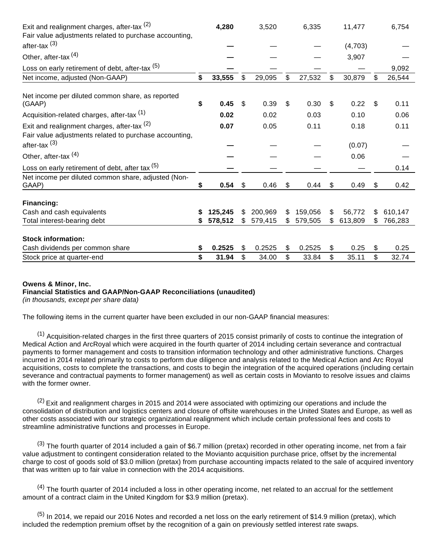| Exit and realignment charges, after-tax $(2)$                             |    | 4,280   |     | 3,520   |     | 6,335   |     | 11,477  |     | 6,754   |
|---------------------------------------------------------------------------|----|---------|-----|---------|-----|---------|-----|---------|-----|---------|
| Fair value adjustments related to purchase accounting,                    |    |         |     |         |     |         |     |         |     |         |
| after-tax $(3)$                                                           |    |         |     |         |     |         |     | (4,703) |     |         |
| Other, after-tax <sup>(4)</sup>                                           |    |         |     |         |     |         |     | 3,907   |     |         |
| Loss on early retirement of debt, after-tax (5)                           |    |         |     |         |     |         |     |         |     | 9,092   |
| Net income, adjusted (Non-GAAP)                                           | \$ | 33,555  | \$  | 29,095  | \$  | 27,532  | \$  | 30,879  | \$  | 26,544  |
| Net income per diluted common share, as reported<br>(GAAP)                | \$ | 0.45    | \$  | 0.39    | \$  | 0.30    | \$  | 0.22    | \$  | 0.11    |
| Acquisition-related charges, after-tax <sup>(1)</sup>                     |    | 0.02    |     | 0.02    |     | 0.03    |     | 0.10    |     | 0.06    |
| Exit and realignment charges, after-tax (2)                               |    | 0.07    |     | 0.05    |     | 0.11    |     | 0.18    |     | 0.11    |
| Fair value adjustments related to purchase accounting,<br>after-tax $(3)$ |    |         |     |         |     |         |     | (0.07)  |     |         |
| Other, after-tax <sup>(4)</sup>                                           |    |         |     |         |     |         |     | 0.06    |     |         |
| Loss on early retirement of debt, after tax (5)                           |    |         |     |         |     |         |     |         |     | 0.14    |
| Net income per diluted common share, adjusted (Non-<br>GAAP)              | S  | 0.54    | \$  | 0.46    | \$  | 0.44    | S   | 0.49    | \$  | 0.42    |
| Financing:                                                                |    |         |     |         |     |         |     |         |     |         |
| Cash and cash equivalents                                                 |    | 125,245 | S.  | 200,969 | \$  | 159,056 | \$  | 56,772  | \$. | 610,147 |
| Total interest-bearing debt                                               |    | 578,512 | \$. | 579,415 | \$. | 579,505 | \$. | 613,809 | \$. | 766,283 |
| <b>Stock information:</b>                                                 |    |         |     |         |     |         |     |         |     |         |
| Cash dividends per common share                                           |    | 0.2525  | \$  | 0.2525  | \$  | 0.2525  | S   | 0.25    | \$  | 0.25    |
| Stock price at quarter-end                                                | \$ | 31.94   | \$  | 34.00   | \$  | 33.84   | \$  | 35.11   | \$  | 32.74   |

#### **Owens & Minor, Inc. Financial Statistics and GAAP/Non-GAAP Reconciliations (unaudited)**

(in thousands, except per share data)

The following items in the current quarter have been excluded in our non-GAAP financial measures:

 $(1)$  Acquisition-related charges in the first three quarters of 2015 consist primarily of costs to continue the integration of Medical Action and ArcRoyal which were acquired in the fourth quarter of 2014 including certain severance and contractual payments to former management and costs to transition information technology and other administrative functions. Charges incurred in 2014 related primarily to costs to perform due diligence and analysis related to the Medical Action and Arc Royal acquisitions, costs to complete the transactions, and costs to begin the integration of the acquired operations (including certain severance and contractual payments to former management) as well as certain costs in Movianto to resolve issues and claims with the former owner.

 $(2)$  Exit and realignment charges in 2015 and 2014 were associated with optimizing our operations and include the consolidation of distribution and logistics centers and closure of offsite warehouses in the United States and Europe, as well as other costs associated with our strategic organizational realignment which include certain professional fees and costs to streamline administrative functions and processes in Europe.

 $(3)$  The fourth quarter of 2014 included a gain of \$6.7 million (pretax) recorded in other operating income, net from a fair value adjustment to contingent consideration related to the Movianto acquisition purchase price, offset by the incremental charge to cost of goods sold of \$3.0 million (pretax) from purchase accounting impacts related to the sale of acquired inventory that was written up to fair value in connection with the 2014 acquisitions.

 $<sup>(4)</sup>$  The fourth quarter of 2014 included a loss in other operating income, net related to an accrual for the settlement</sup> amount of a contract claim in the United Kingdom for \$3.9 million (pretax).

 $(5)$  In 2014, we repaid our 2016 Notes and recorded a net loss on the early retirement of \$14.9 million (pretax), which included the redemption premium offset by the recognition of a gain on previously settled interest rate swaps.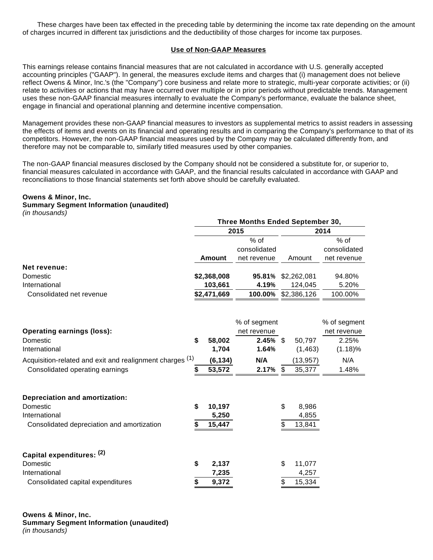These charges have been tax effected in the preceding table by determining the income tax rate depending on the amount of charges incurred in different tax jurisdictions and the deductibility of those charges for income tax purposes.

## **Use of Non-GAAP Measures**

This earnings release contains financial measures that are not calculated in accordance with U.S. generally accepted accounting principles ("GAAP"). In general, the measures exclude items and charges that (i) management does not believe reflect Owens & Minor, Inc.'s (the "Company") core business and relate more to strategic, multi-year corporate activities; or (ii) relate to activities or actions that may have occurred over multiple or in prior periods without predictable trends. Management uses these non-GAAP financial measures internally to evaluate the Company's performance, evaluate the balance sheet, engage in financial and operational planning and determine incentive compensation.

Management provides these non-GAAP financial measures to investors as supplemental metrics to assist readers in assessing the effects of items and events on its financial and operating results and in comparing the Company's performance to that of its competitors. However, the non-GAAP financial measures used by the Company may be calculated differently from, and therefore may not be comparable to, similarly titled measures used by other companies.

The non-GAAP financial measures disclosed by the Company should not be considered a substitute for, or superior to, financial measures calculated in accordance with GAAP, and the financial results calculated in accordance with GAAP and reconciliations to those financial statements set forth above should be carefully evaluated.

#### **Owens & Minor, Inc.**

## **Summary Segment Information (unaudited)**

(in thousands)

|                                                          |    |             | Three Months Ended September 30, |                           |             |              |
|----------------------------------------------------------|----|-------------|----------------------------------|---------------------------|-------------|--------------|
|                                                          |    | 2015        |                                  | 2014                      |             |              |
|                                                          |    |             | $%$ of                           |                           |             | % of         |
|                                                          |    |             | consolidated                     |                           |             | consolidated |
|                                                          |    | Amount      | net revenue                      |                           | Amount      | net revenue  |
| Net revenue:                                             |    |             |                                  |                           |             |              |
| Domestic                                                 |    | \$2,368,008 | 95.81%                           |                           | \$2,262,081 | 94.80%       |
| International                                            |    | 103,661     | 4.19%                            |                           | 124,045     | 5.20%        |
| Consolidated net revenue                                 |    | \$2,471,669 | 100.00%                          |                           | \$2,386,126 | 100.00%      |
|                                                          |    |             |                                  |                           |             |              |
|                                                          |    |             | % of segment                     |                           |             | % of segment |
| <b>Operating earnings (loss):</b>                        |    |             | net revenue                      |                           |             | net revenue  |
| Domestic                                                 | \$ | 58,002      | $2.45\%$ \$                      |                           | 50,797      | 2.25%        |
| International                                            |    | 1,704       | 1.64%                            |                           | (1, 463)    | (1.18)%      |
| Acquisition-related and exit and realignment charges (1) |    | (6, 134)    | N/A                              |                           | (13, 957)   | N/A          |
| Consolidated operating earnings                          | S  | 53,572      | 2.17%                            | $\boldsymbol{\mathsf{S}}$ | 35,377      | 1.48%        |
| <b>Depreciation and amortization:</b>                    |    |             |                                  |                           |             |              |
| Domestic                                                 | \$ | 10,197      |                                  | \$                        | 8,986       |              |
| International                                            |    | 5,250       |                                  |                           | 4,855       |              |
| Consolidated depreciation and amortization               |    | 15,447      |                                  | \$                        | 13,841      |              |
|                                                          |    |             |                                  |                           |             |              |
| Capital expenditures: (2)                                |    |             |                                  |                           |             |              |
| Domestic                                                 | \$ | 2,137       |                                  | \$                        | 11,077      |              |
| International                                            |    | 7,235       |                                  |                           | 4,257       |              |
| Consolidated capital expenditures                        | \$ | 9,372       |                                  | \$                        | 15,334      |              |

**Owens & Minor, Inc. Summary Segment Information (unaudited)** (in thousands)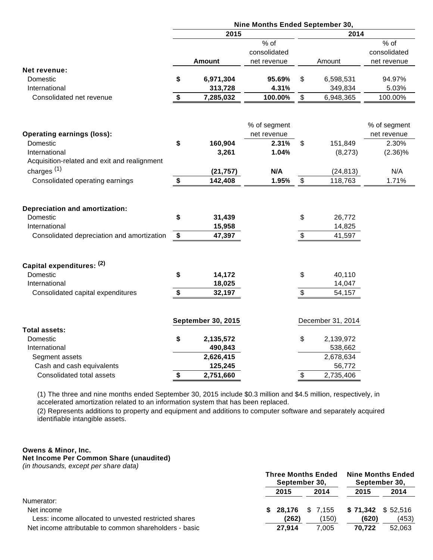|                                                                                                                  | Nine Months Ended September 30, |                            |                             |               |                            |              |  |  |  |  |
|------------------------------------------------------------------------------------------------------------------|---------------------------------|----------------------------|-----------------------------|---------------|----------------------------|--------------|--|--|--|--|
|                                                                                                                  |                                 | 2014                       |                             |               |                            |              |  |  |  |  |
|                                                                                                                  |                                 |                            | $%$ of                      |               |                            | $%$ of       |  |  |  |  |
|                                                                                                                  |                                 |                            | consolidated                |               |                            | consolidated |  |  |  |  |
|                                                                                                                  |                                 | <b>Amount</b>              | net revenue                 |               | Amount                     | net revenue  |  |  |  |  |
| Net revenue:                                                                                                     |                                 |                            |                             |               |                            |              |  |  |  |  |
| Domestic                                                                                                         | \$                              | 6,971,304                  | 95.69%                      | \$            | 6,598,531                  | 94.97%       |  |  |  |  |
| International                                                                                                    |                                 | 313,728                    | 4.31%                       |               | 349,834                    | 5.03%        |  |  |  |  |
| Consolidated net revenue                                                                                         | \$                              | 7,285,032                  | 100.00%                     | \$            | 6,948,365                  | 100.00%      |  |  |  |  |
|                                                                                                                  |                                 |                            |                             |               |                            | % of segment |  |  |  |  |
| <b>Operating earnings (loss):</b>                                                                                |                                 |                            | % of segment<br>net revenue |               |                            | net revenue  |  |  |  |  |
| Domestic                                                                                                         | \$                              | 160,904                    | 2.31%                       | \$            | 151,849                    | 2.30%        |  |  |  |  |
| International                                                                                                    |                                 | 3,261                      | 1.04%                       |               | (8, 273)                   | $(2.36)\%$   |  |  |  |  |
| Acquisition-related and exit and realignment                                                                     |                                 |                            |                             |               |                            |              |  |  |  |  |
|                                                                                                                  |                                 |                            |                             |               |                            |              |  |  |  |  |
| charges $(1)$                                                                                                    |                                 | (21, 757)                  | N/A                         |               | (24, 813)                  | N/A          |  |  |  |  |
| Consolidated operating earnings                                                                                  | \$                              | 142,408                    | 1.95%                       | $\sqrt[6]{2}$ | 118,763                    | 1.71%        |  |  |  |  |
| <b>Depreciation and amortization:</b><br>Domestic<br>International<br>Consolidated depreciation and amortization | \$<br>\$                        | 31,439<br>15,958<br>47,397 |                             | \$<br>\$      | 26,772<br>14,825<br>41,597 |              |  |  |  |  |
| Capital expenditures: (2)                                                                                        |                                 |                            |                             |               |                            |              |  |  |  |  |
| Domestic                                                                                                         | \$                              | 14,172                     |                             | \$            | 40,110                     |              |  |  |  |  |
| International                                                                                                    |                                 | 18,025                     |                             |               | 14,047                     |              |  |  |  |  |
| Consolidated capital expenditures                                                                                | \$                              | 32,197                     |                             | \$            | 54,157                     |              |  |  |  |  |
| <b>Total assets:</b>                                                                                             |                                 | <b>September 30, 2015</b>  |                             |               | December 31, 2014          |              |  |  |  |  |
| Domestic                                                                                                         | \$                              | 2,135,572                  |                             | \$            | 2,139,972                  |              |  |  |  |  |
| International                                                                                                    |                                 | 490,843                    |                             |               | 538,662                    |              |  |  |  |  |
| Segment assets                                                                                                   |                                 | 2,626,415                  |                             |               | 2,678,634                  |              |  |  |  |  |
| Cash and cash equivalents                                                                                        |                                 | 125,245                    |                             |               | 56,772                     |              |  |  |  |  |
| Consolidated total assets                                                                                        | \$                              | 2,751,660                  |                             | \$            | 2,735,406                  |              |  |  |  |  |

(1) The three and nine months ended September 30, 2015 include \$0.3 million and \$4.5 million, respectively, in accelerated amortization related to an information system that has been replaced.

(2) Represents additions to property and equipment and additions to computer software and separately acquired identifiable intangible assets.

#### **Owens & Minor, Inc. Net Income Per Common Share (unaudited)**

(in thousands, except per share data)

|                                                        | <b>Three Months Ended</b><br>September 30, |                    | <b>Nine Months Ended</b><br>September 30, |          |
|--------------------------------------------------------|--------------------------------------------|--------------------|-------------------------------------------|----------|
|                                                        | 2015                                       | 2014               | 2015                                      | 2014     |
| Numerator:                                             |                                            |                    |                                           |          |
| Net income                                             |                                            | $$28,176$ $$7,155$ | \$71,342                                  | \$52.516 |
| Less: income allocated to unvested restricted shares   | (262)                                      | (150)              | (620)                                     | (453)    |
| Net income attributable to common shareholders - basic | 27.914                                     | 7.005              | 70.722                                    | 52,063   |